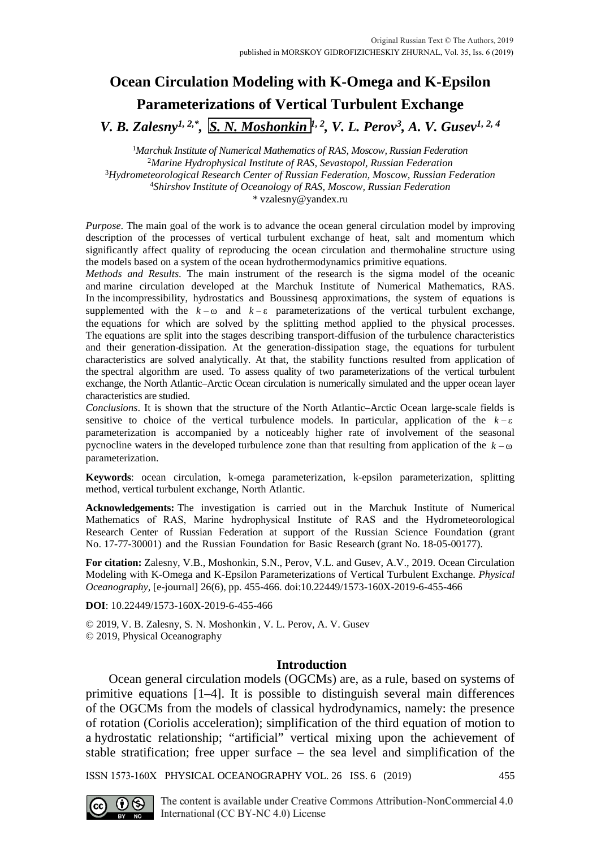# **Ocean Circulation Modeling with K-Omega and K-Epsilon Parameterizations of Vertical Turbulent Exchange**

*V. B. Zalesny<sup>1, 2,\*</sup>, S<u>. N. Moshonkin <sup>||</sup>, <sup>2</sup>, V. L. Perov<sup>3</sup>, A. V. Gusev<sup>1, 2, 4</sup>*</u>

 *Marchuk Institute of Numerical Mathematics of RAS, Moscow, Russian Federation Marine Hydrophysical Institute of RAS, Sevastopol, Russian Federation Hydrometeorological Research Center of Russian Federation, Moscow, Russian Federation Shirshov Institute of Oceanology of RAS, Moscow, Russian Federation \** [vzalesny@yandex.ru](mailto:vzalesny@yandex.ru)

*Purpose*. The main goal of the work is to advance the ocean general circulation model by improving description of the processes of vertical turbulent exchange of heat, salt and momentum which significantly affect quality of reproducing the ocean circulation and thermohaline structure using the models based on a system of the ocean hydrothermodynamics primitive equations.

*Methods and Results*. The main instrument of the research is the sigma model of the oceanic and marine circulation developed at the Marchuk Institute of Numerical Mathematics, RAS. In the incompressibility, hydrostatics and Boussinesq approximations, the system of equations is supplemented with the  $k - \omega$  and  $k - \epsilon$  parameterizations of the vertical turbulent exchange, the equations for which are solved by the splitting method applied to the physical processes. The equations are split into the stages describing transport-diffusion of the turbulence characteristics and their generation-dissipation. At the generation-dissipation stage, the equations for turbulent characteristics are solved analytically. At that, the stability functions resulted from application of the spectral algorithm are used. To assess quality of two parameterizations of the vertical turbulent exchange, the North Atlantic–Arctic Ocean circulation is numerically simulated and the upper ocean layer characteristics are studied.

*Conclusions*. It is shown that the structure of the North Atlantic–Arctic Ocean large-scale fields is sensitive to choice of the vertical turbulence models. In particular, application of the  $k - \varepsilon$ parameterization is accompanied by a noticeably higher rate of involvement of the seasonal pycnocline waters in the developed turbulence zone than that resulting from application of the  $k - \omega$ parameterization.

**Keywords**: ocean circulation, k-omega parameterization, k-epsilon parameterization, splitting method, vertical turbulent exchange, North Atlantic.

**Acknowledgements:** The investigation is carried out in the Marchuk Institute of Numerical Mathematics of RAS, Marine hydrophysical Institute of RAS and the Hydrometeorological Research Center of Russian Federation at support of the Russian Science Foundation (grant No. 17-77-30001) and the Russian Foundation for Basic Research (grant No. 18-05-00177).

**For citation:** Zalesny, V.B., Moshonkin, S.N., Perov, V.L. and Gusev, A.V., 2019. Ocean Circulation Modeling with K-Omega and K-Epsilon Parameterizations of Vertical Turbulent Exchange. *Physical Oceanography,* [e-journal] 26(6), pp. 455-466. doi:10.22449/1573-160X-2019-6-455-466

**DOI**: 10.22449/1573-160X-2019-6-455-466

© 2019, V. B. Zalesny, S. N. Moshonkin , V. L. Perov, A. V. Gusev © 2019, Physical Oceanography

# **Introduction**

Ocean general circulation models (OGCMs) are, as a rule, based on systems of primitive equations [1–4]. It is possible to distinguish several main differences of the OGCMs from the models of classical hydrodynamics, namely: the presence of rotation (Coriolis acceleration); simplification of the third equation of motion to a hydrostatic relationship; "artificial" vertical mixing upon the achievement of stable stratification; free upper surface – the sea level and simplification of the

ISSN 1573-160X PHYSICAL OCEANOGRAPHY VOL. 26 ISS. 6 (2019) 455



The content is available under Creative Commons Attribution-NonCommercial 4.0 International (CC BY-NC 4.0) License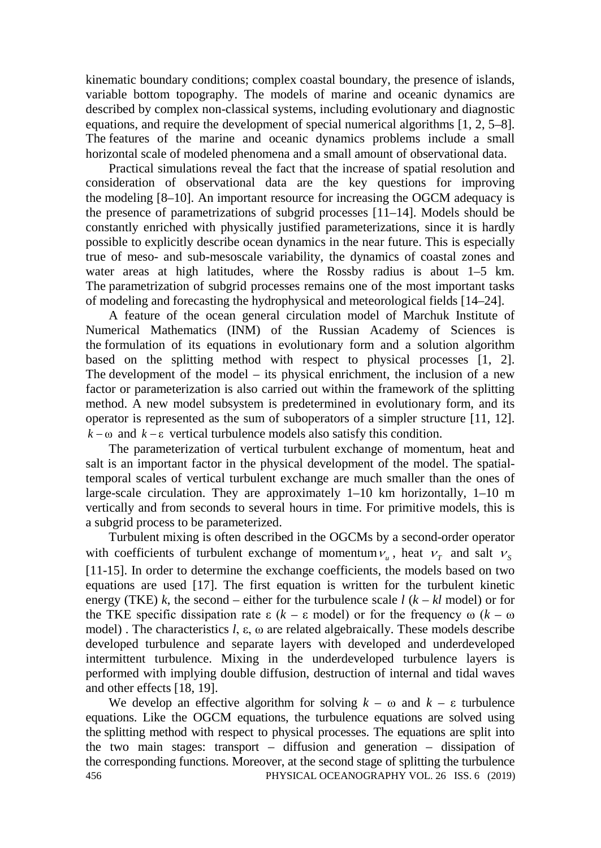kinematic boundary conditions; complex coastal boundary, the presence of islands, variable bottom topography. The models of marine and oceanic dynamics are described by complex non-classical systems, including evolutionary and diagnostic equations, and require the development of special numerical algorithms [1, 2, 5–8]. The features of the marine and oceanic dynamics problems include a small horizontal scale of modeled phenomena and a small amount of observational data.

Practical simulations reveal the fact that the increase of spatial resolution and consideration of observational data are the key questions for improving the modeling [8–10]. An important resource for increasing the OGCM adequacy is the presence of parametrizations of subgrid processes [11–14]. Models should be constantly enriched with physically justified parameterizations, since it is hardly possible to explicitly describe ocean dynamics in the near future. This is especially true of meso- and sub-mesoscale variability, the dynamics of coastal zones and water areas at high latitudes, where the Rossby radius is about 1–5 km. The parametrization of subgrid processes remains one of the most important tasks of modeling and forecasting the hydrophysical and meteorological fields [14–24].

A feature of the ocean general circulation model of Marchuk Institute of Numerical Mathematics (INM) of the Russian Academy of Sciences is the formulation of its equations in evolutionary form and a solution algorithm based on the splitting method with respect to physical processes [1, 2]. The development of the model – its physical enrichment, the inclusion of a new factor or parameterization is also carried out within the framework of the splitting method. A new model subsystem is predetermined in evolutionary form, and its operator is represented as the sum of suboperators of a simpler structure [11, 12].  $k - \omega$  and  $k - \epsilon$  vertical turbulence models also satisfy this condition.

The parameterization of vertical turbulent exchange of momentum, heat and salt is an important factor in the physical development of the model. The spatialtemporal scales of vertical turbulent exchange are much smaller than the ones of large-scale circulation. They are approximately 1–10 km horizontally, 1–10 m vertically and from seconds to several hours in time. For primitive models, this is a subgrid process to be parameterized.

Turbulent mixing is often described in the OGCMs by a second-order operator with coefficients of turbulent exchange of momentum  $v_{u}$ , heat  $v_{\tau}$  and salt  $v_{s}$ [11-15]. In order to determine the exchange coefficients, the models based on two equations are used [17]. The first equation is written for the turbulent kinetic energy (TKE) *k*, the second – either for the turbulence scale  $l$  ( $k - kl$  model) or for the TKE specific dissipation rate ε (*k* – ε model) or for the frequency ω (*k* – ω model) . The characteristics *l*, ε, ω are related algebraically. These models describe developed turbulence and separate layers with developed and underdeveloped intermittent turbulence. Mixing in the underdeveloped turbulence layers is performed with implying double diffusion, destruction of internal and tidal waves and other effects [18, 19].

We develop an effective algorithm for solving  $k - \omega$  and  $k - \varepsilon$  turbulence equations. Like the OGCM equations, the turbulence equations are solved using the splitting method with respect to physical processes. The equations are split into the two main stages: transport – diffusion and generation – dissipation of the corresponding functions. Moreover, at the second stage of splitting the turbulence 456 PHYSICAL OCEANOGRAPHY VOL. 26 ISS. 6 (2019)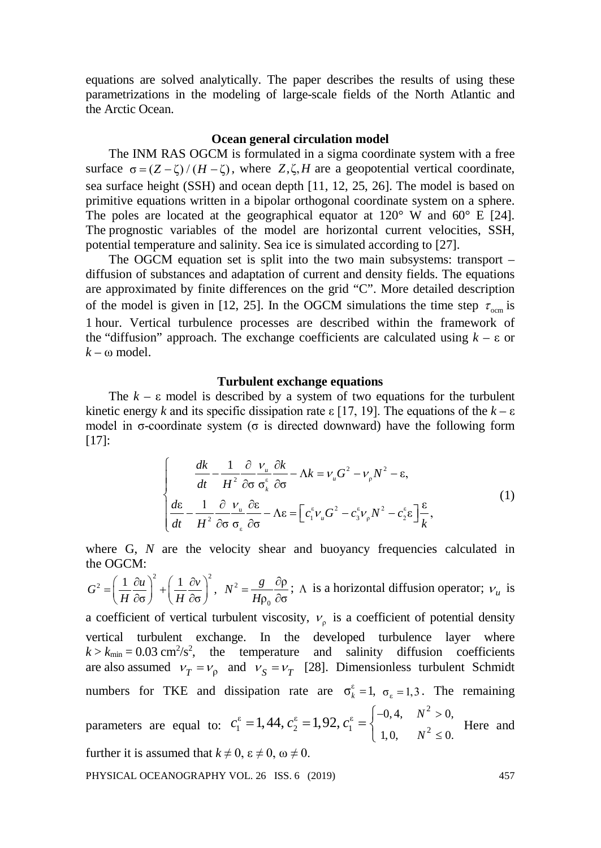equations are solved analytically. The paper describes the results of using these parametrizations in the modeling of large-scale fields of the North Atlantic and the Arctic Ocean.

## **Ocean general circulation model**

The INM RAS OGCM is formulated in a sigma coordinate system with a free surface  $\sigma = (Z - \zeta) / (H - \zeta)$ , where *Z*,  $\zeta$ , *H* are a geopotential vertical coordinate, sea surface height (SSH) and ocean depth [11, 12, 25, 26]. The model is based on primitive equations written in a bipolar orthogonal coordinate system on a sphere. The poles are located at the geographical equator at  $120^{\circ}$  W and  $60^{\circ}$  E [24]. The prognostic variables of the model are horizontal current velocities, SSH, potential temperature and salinity. Sea ice is simulated according to [27].

The OGCM equation set is split into the two main subsystems: transport – diffusion of substances and adaptation of current and density fields. The equations are approximated by finite differences on the grid "C". More detailed description of the model is given in [12, 25]. In the OGCM simulations the time step  $\tau_{\text{ocm}}$  is 1 hour. Vertical turbulence processes are described within the framework of the "diffusion" approach. The exchange coefficients are calculated using *k* – ε or  $k - \omega$  model.

## **Turbulent exchange equations**

The  $k - \varepsilon$  model is described by a system of two equations for the turbulent kinetic energy *k* and its specific dissipation rate  $\epsilon$  [17, 19]. The equations of the *k* – ε model in  $\sigma$ -coordinate system ( $\sigma$  is directed downward) have the following form [17]:

$$
\begin{cases}\n\frac{dk}{dt} - \frac{1}{H^2} \frac{\partial}{\partial \sigma} \frac{v_u}{\sigma_k^{\epsilon}} \frac{\partial k}{\partial \sigma} - \Lambda k = v_u G^2 - v_p N^2 - \varepsilon, \\
\frac{d\varepsilon}{dt} - \frac{1}{H^2} \frac{\partial}{\partial \sigma} \frac{v_u}{\sigma_\varepsilon} \frac{\partial \varepsilon}{\partial \sigma} - \Lambda \varepsilon = \left[ c_1^{\epsilon} v_u G^2 - c_3^{\epsilon} v_p N^2 - c_2^{\epsilon} \varepsilon \right] \frac{\varepsilon}{k},\n\end{cases} (1)
$$

where G, N are the velocity shear and buoyancy frequencies calculated in the OGCM:

 $G^2 = \left(\frac{1}{H}\frac{\partial u}{\partial \sigma}\right)^2 + \left(\frac{1}{H}\frac{\partial v}{\partial \sigma}\right)^2,$  $=\left(\frac{1}{H}\frac{\partial u}{\partial \sigma}\right)^2+\left(\frac{1}{H}\frac{\partial v}{\partial \sigma}\right)^2, N^2$ 0 ρ  $\overline{\rho}_0$   $\partial \sigma$  $N^2 = \frac{g}{\sqrt{g}}$  $=\frac{g}{H\rho_0} \frac{\partial \rho}{\partial \sigma}$ ;  $\Lambda$  is a horizontal diffusion operator;  $v_u$  is

a coefficient of vertical turbulent viscosity,  $v<sub>o</sub>$  is a coefficient of potential density vertical turbulent exchange. In the developed turbulence layer where  $k > k_{\text{min}} = 0.03 \text{ cm}^2/\text{s}^2$ , the temperature and salinity diffusion coefficients are also assumed  $v_T = v_0$  and  $v_S = v_T$  [28]. Dimensionless turbulent Schmidt numbers for TKE and dissipation rate are  $\sigma_k^{\varepsilon} = 1$ ,  $\sigma_{\varepsilon} = 1,3$ . The remaining parameters are equal to: 2  $\epsilon = 1$   $AA \approx -1$  02  $\approx$  $\left[1 - 1, \frac{1}{2}, \frac{1}{2}, \frac{1}{2}, \frac{1}{2}, \frac{1}{2}, \frac{1}{2}, \frac{1}{2}, \frac{1}{2}, \frac{1}{2}, \frac{1}{2}, \frac{1}{2}, \frac{1}{2}, \frac{1}{2}, \frac{1}{2}, \frac{1}{2}, \frac{1}{2}, \frac{1}{2}, \frac{1}{2}, \frac{1}{2}, \frac{1}{2}, \frac{1}{2}, \frac{1}{2}, \frac{1}{2}, \frac{1}{2}, \frac{1}{2}, \frac{1}{2}, \frac{1}{2}, \frac{1}{2}, \frac{1}{2}, \frac{1}{2}, \frac$  $0, 4, \quad N^2 > 0,$ 1,0,  $N^2 \le 0$ .  $1,44, c_2^{\epsilon} = 1,92, c_1^{\epsilon} = \begin{cases} -0.4, & N \end{cases}$ *N*  $c_1^{\varepsilon} = 1,44, c_2^{\varepsilon} = 1,92, c_1^{\varepsilon} = \begin{cases} -0,4, & N^2 > 0 \\ 0, & N \end{cases}$  $= 1,44, c_2^e = 1,92, c_1^e = \begin{cases} -0.4, & N^2 > 1, 0, & N^2 \leq 1, & N^2 \leq 1, & N^2 \leq 1, & N^2 \leq 1, & N^2 \leq 1, & N^2 \leq 1, & N^2 \leq 1, & N^2 \leq 1, & N^2 \leq 1, & N^2 \leq 1, & N^2 \leq 1, & N^2 \leq 1, & N^2 \leq 1, & N^2 \leq 1, & N^2 \leq 1, & N^2 \leq 1, & N^2 \leq 1, & N^2$  $\begin{cases} 1,0, & N^2 \leq 0. \end{cases}$  Here and further it is assumed that  $k \neq 0$ ,  $\varepsilon \neq 0$ ,  $\omega \neq 0$ . PHYSICAL OCEANOGRAPHY VOL. 26 ISS. 6 (2019) 457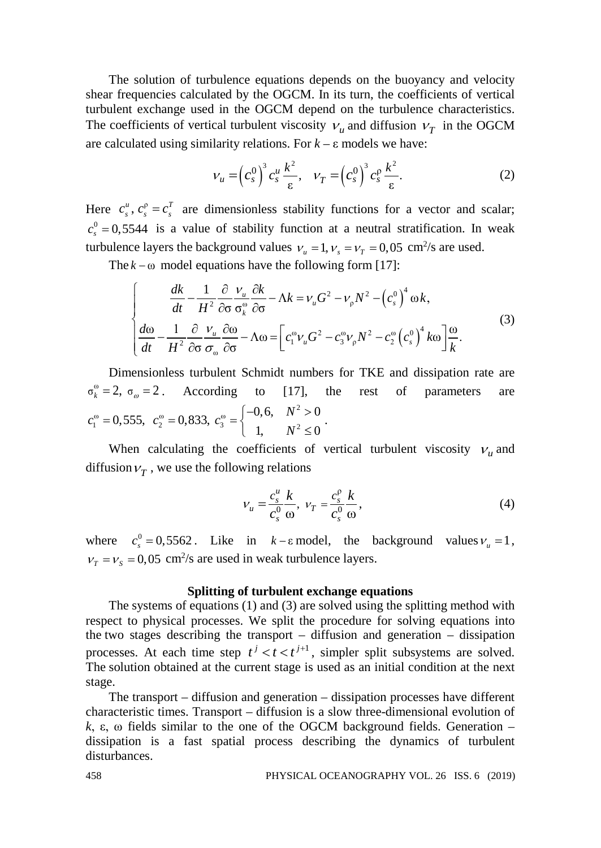The solution of turbulence equations depends on the buoyancy and velocity shear frequencies calculated by the OGCM. In its turn, the coefficients of vertical turbulent exchange used in the OGCM depend on the turbulence characteristics. The coefficients of vertical turbulent viscosity  $V_u$  and diffusion  $V_T$  in the OGCM are calculated using similarity relations. For  $k - \varepsilon$  models we have:

$$
V_u = \left(c_s^0\right)^3 c_s^u \frac{k^2}{\varepsilon}, \quad V_T = \left(c_s^0\right)^3 c_s^0 \frac{k^2}{\varepsilon}.
$$
 (2)

Here  $c_s^u$ ,  $c_s^p = c_s^T$  are dimensionless stability functions for a vector and scalar;  $c_s^0 = 0.5544$  is a value of stability function at a neutral stratification. In weak turbulence layers the background values  $v_u = 1, v_s = v_T = 0,05 \text{ cm}^2/\text{s}$  are used.

The  $k - \omega$  model equations have the following form [17]:

$$
\begin{cases}\n\frac{dk}{dt} - \frac{1}{H^2} \frac{\partial}{\partial \sigma} \frac{v_u}{\sigma^{\omega}_k} \frac{\partial k}{\partial \sigma} - \Lambda k = v_u G^2 - v_p N^2 - (c_s^0)^4 \omega k, \\
\frac{d\omega}{dt} - \frac{1}{H^2} \frac{\partial}{\partial \sigma} \frac{v_u}{\sigma^{\omega}_\omega} \frac{\partial \omega}{\partial \sigma} - \Lambda \omega = \left[ c_1^{\omega} v_u G^2 - c_3^{\omega} v_p N^2 - c_2^{\omega} (c_s^0)^4 k \omega \right] \frac{\omega}{k}.\n\end{cases} (3)
$$

Dimensionless turbulent Schmidt numbers for TKE and dissipation rate are  $\sigma_k^{\omega} = 2$ ,  $\sigma_{\omega} = 2$ . According to [17], the rest of parameters are  $c_1^{\omega} = 0,555, c_2^{\omega} = 0,833,$  $\frac{1}{3}$  =  $\begin{cases} -0.6, & N^2 \\ 1, & N^2 \end{cases}$  $0,6, N^2 > 0$ 1,  $N^2 \le 0$  $c_3^{\omega} = \begin{cases} -0,6, & N \\ 0, & N \end{cases}$  $=\begin{cases} -0,6, & N^2 > 0 \\ 1, & N^2 \leq 0 \end{cases}.$ 

When calculating the coefficients of vertical turbulent viscosity  $v<sub>u</sub>$  and diffusion  $V_T$ , we use the following relations

$$
V_u = \frac{c_s^u}{c_s^0} \frac{k}{\omega}, \quad V_T = \frac{c_s^0}{c_s^0} \frac{k}{\omega}, \tag{4}
$$

where  $c_s^0 = 0.5562$ . Like in  $k - \varepsilon$  model, the background values  $v_u = 1$ ,  $v_T = v_s = 0.05$  cm<sup>2</sup>/s are used in weak turbulence layers.

# **Splitting of turbulent exchange equations**

The systems of equations (1) and (3) are solved using the splitting method with respect to physical processes. We split the procedure for solving equations into the two stages describing the transport – diffusion and generation – dissipation processes. At each time step  $t^{j} < t < t^{j+1}$ , simpler split subsystems are solved. The solution obtained at the current stage is used as an initial condition at the next stage.

The transport – diffusion and generation – dissipation processes have different characteristic times. Transport – diffusion is a slow three-dimensional evolution of *k*, ε, ω fields similar to the one of the OGCM background fields. Generation – dissipation is a fast spatial process describing the dynamics of turbulent disturbances.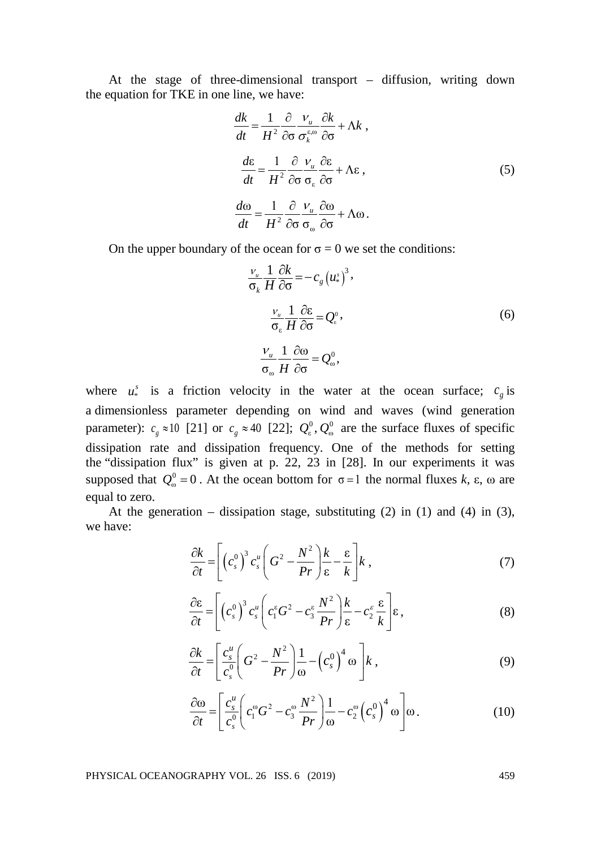At the stage of three-dimensional transport – diffusion, writing down the equation for TKE in one line, we have:

$$
\frac{dk}{dt} = \frac{1}{H^2} \frac{\partial}{\partial \sigma} \frac{v_u}{\sigma_k^{\epsilon, \omega}} \frac{\partial k}{\partial \sigma} + \Lambda k ,
$$
\n
$$
\frac{d\epsilon}{dt} = \frac{1}{H^2} \frac{\partial}{\partial \sigma} \frac{v_u}{\sigma_{\epsilon}} \frac{\partial \epsilon}{\partial \sigma} + \Lambda \epsilon ,
$$
\n
$$
\frac{d\omega}{dt} = \frac{1}{H^2} \frac{\partial}{\partial \sigma} \frac{v_u}{\sigma_{\omega}} \frac{\partial \omega}{\partial \sigma} + \Lambda \omega .
$$
\n(5)

On the upper boundary of the ocean for  $\sigma = 0$  we set the conditions:

$$
\frac{v_u}{\sigma_k} \frac{1}{H} \frac{\partial k}{\partial \sigma} = -c_g (u^*_{*})^3,
$$
  

$$
\frac{v_u}{\sigma_{\varepsilon}} \frac{1}{H} \frac{\partial \varepsilon}{\partial \sigma} = Q_{*}^{0},
$$
  

$$
\frac{v_u}{\sigma_{\omega}} \frac{1}{H} \frac{\partial \omega}{\partial \sigma} = Q_{\omega}^{0},
$$
  
(6)

where  $u^s$  is a friction velocity in the water at the ocean surface;  $c_g$  is a dimensionless parameter depending on wind and waves (wind generation parameter):  $c_g \approx 10$  [21] or  $c_g \approx 40$  [22];  $Q_e^0$ ,  $Q_o^0$  are the surface fluxes of specific dissipation rate and dissipation frequency. One of the methods for setting the "dissipation flux" is given at p. 22, 23 in [28]. In our experiments it was supposed that  $Q_{\omega}^0 = 0$ . At the ocean bottom for  $\sigma = 1$  the normal fluxes  $k$ ,  $\varepsilon$ ,  $\omega$  are equal to zero.

At the generation – dissipation stage, substituting  $(2)$  in  $(1)$  and  $(4)$  in  $(3)$ , we have:

$$
\frac{\partial k}{\partial t} = \left[ \left( c_s^0 \right)^3 c_s^u \left( G^2 - \frac{N^2}{Pr} \right) \frac{k}{\epsilon} - \frac{\epsilon}{k} \right] k \tag{7}
$$

$$
\frac{\partial \varepsilon}{\partial t} = \left[ \left( c_s^0 \right)^3 c_s^u \left( c_1^\varepsilon G^2 - c_3^\varepsilon \frac{N^2}{Pr} \right) \frac{k}{\varepsilon} - c_2^\varepsilon \frac{\varepsilon}{k} \right] \varepsilon, \tag{8}
$$

$$
\frac{\partial k}{\partial t} = \left[ \frac{c_s^u}{c_s^0} \left( G^2 - \frac{N^2}{Pr} \right) \frac{1}{\omega} - \left( c_s^0 \right)^4 \omega \right] k \,, \tag{9}
$$

$$
\frac{\partial \omega}{\partial t} = \left[ \frac{c_s^u}{c_s^0} \left( c_1^{\omega} G^2 - c_3^{\omega} \frac{N^2}{Pr} \right) \frac{1}{\omega} - c_2^{\omega} \left( c_s^0 \right)^4 \omega \right] \omega.
$$
 (10)

PHYSICAL OCEANOGRAPHY VOL. 26 ISS. 6 (2019) 459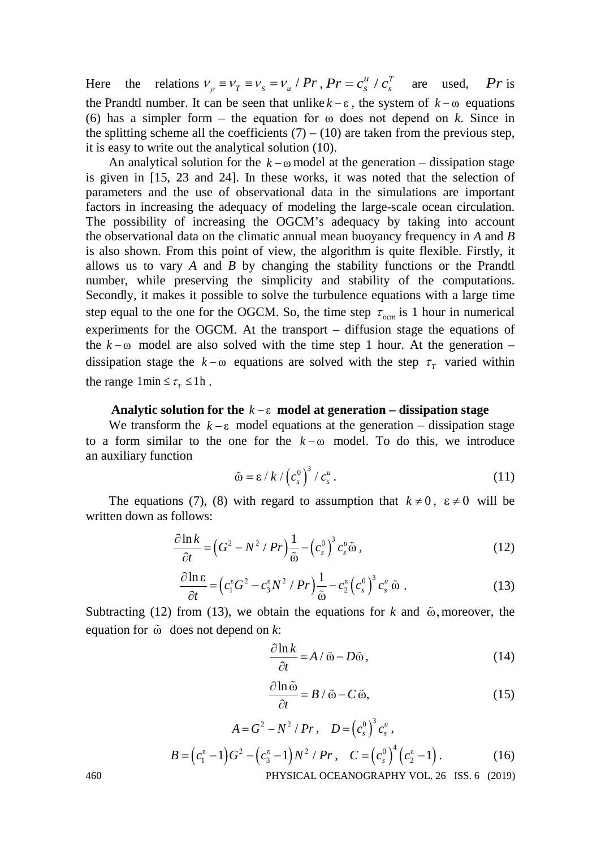Here the relations  $V_\rho = V_T = V_s = V_u / Pr$ ,  $Pr = c_s^u / c_s^T$  are used,  $Pr$  is the Prandtl number. It can be seen that unlike  $k - \varepsilon$ , the system of  $k - \omega$  equations (6) has a simpler form – the equation for  $\omega$  does not depend on *k*. Since in the splitting scheme all the coefficients  $(7) - (10)$  are taken from the previous step, it is easy to write out the analytical solution (10).

An analytical solution for the  $k - \omega$  model at the generation – dissipation stage is given in [15, 23 and 24]. In these works, it was noted that the selection of parameters and the use of observational data in the simulations are important factors in increasing the adequacy of modeling the large-scale ocean circulation. The possibility of increasing the OGCM's adequacy by taking into account the observational data on the climatic annual mean buoyancy frequency in *A* and *B* is also shown. From this point of view, the algorithm is quite flexible. Firstly, it allows us to vary *A* and *B* by changing the stability functions or the Prandtl number, while preserving the simplicity and stability of the computations. Secondly, it makes it possible to solve the turbulence equations with a large time step equal to the one for the OGCM. So, the time step  $\tau_{\text{ocm}}$  is 1 hour in numerical experiments for the OGCM. At the transport – diffusion stage the equations of the  $k - \omega$  model are also solved with the time step 1 hour. At the generation – dissipation stage the  $k - \omega$  equations are solved with the step  $\tau_r$  varied within the range  $1 \text{min} \leq \tau$   $\leq 1 \text{h}$ .

# **Analytic solution for the** *k* − ε **model at generation – dissipation stage**

We transform the  $k - \varepsilon$  model equations at the generation – dissipation stage to a form similar to the one for the  $k - \omega$  model. To do this, we introduce an auxiliary function

$$
\tilde{\omega} = \varepsilon / k / \left( c_s^0 \right)^3 / c_s^u. \tag{11}
$$

The equations (7), (8) with regard to assumption that  $k \neq 0$ ,  $\varepsilon \neq 0$  will be written down as follows:

$$
\frac{\partial \ln k}{\partial t} = \left(G^2 - N^2 / Pr\right) \frac{1}{\tilde{\omega}} - \left(c_s^0\right)^3 c_s^u \tilde{\omega},\tag{12}
$$

$$
\frac{\partial \ln \varepsilon}{\partial t} = \left( c_1^{\varepsilon} G^2 - c_3^{\varepsilon} N^2 / Pr \right) \frac{1}{\tilde{\omega}} - c_2^{\varepsilon} \left( c_s^0 \right)^3 c_s^u \, \tilde{\omega} \tag{13}
$$

Subtracting (12) from (13), we obtain the equations for *k* and  $\tilde{\omega}$ , moreover, the equation for  $\tilde{\omega}$  does not depend on  $k$ :

$$
\frac{\partial \ln k}{\partial t} = A / \tilde{\omega} - D\tilde{\omega},\tag{14}
$$

$$
\frac{\partial \ln \tilde{\omega}}{\partial t} = B / \tilde{\omega} - C \tilde{\omega},\tag{15}
$$

$$
A = G2 - N2 / Pr, D = (cs0)3 csu,B = (c1ε - 1)G2 - (csε - 1)N2 / Pr, C = (cs0)4 (c2ε - 1).
$$
 (16)

460 PHYSICAL OCEANOGRAPHY VOL. 26 ISS. 6 (2019)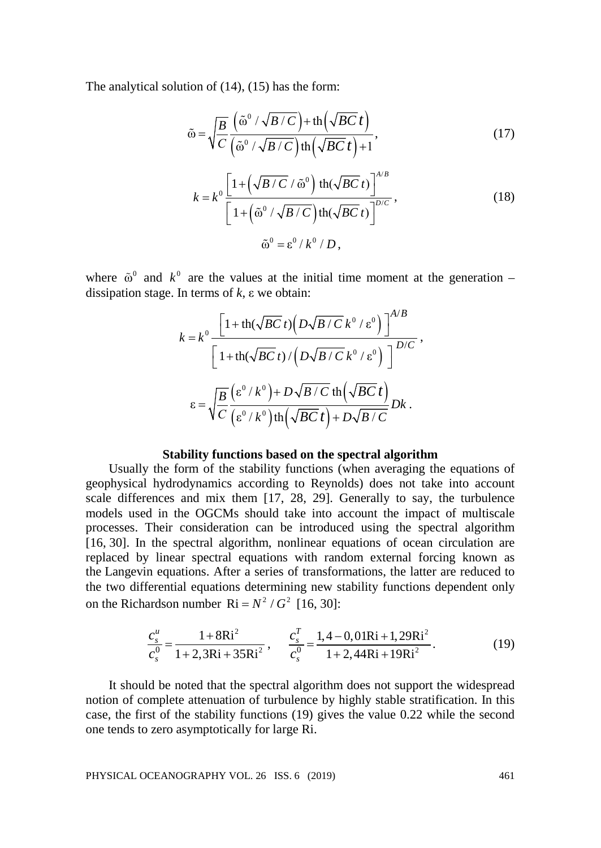The analytical solution of (14), (15) has the form:

$$
\tilde{\omega} = \sqrt{\frac{B}{C}} \frac{\left(\tilde{\omega}^0 / \sqrt{B/C}\right) + \text{th}\left(\sqrt{BC} t\right)}{\left(\tilde{\omega}^0 / \sqrt{B/C}\right) \text{th}\left(\sqrt{BC} t\right) + 1},\tag{17}
$$

$$
k = k^{0} \frac{\left[1 + \left(\sqrt{B/C} / \tilde{\omega}^{0}\right) \text{th}(\sqrt{BC} t)\right]^{A/B}}{\left[1 + \left(\tilde{\omega}^{0} / \sqrt{B/C}\right) \text{th}(\sqrt{BC} t)\right]^{D/C}},
$$
\n
$$
\tilde{\omega}^{0} = \varepsilon^{0} / k^{0} / D,
$$
\n(18)

where  $\tilde{\omega}^0$  and  $k^0$  are the values at the initial time moment at the generation – dissipation stage. In terms of *k*, ε we obtain:

$$
k = k^{0} \frac{\left[1 + \text{th}(\sqrt{BC} t)\left(D\sqrt{B/C} k^{0} / \varepsilon^{0}\right)\right]^{A/B}}{\left[1 + \text{th}(\sqrt{BC} t)\left(D\sqrt{B/C} k^{0} / \varepsilon^{0}\right)\right]^{D/C}},
$$

$$
\varepsilon = \sqrt{\frac{B}{C}} \frac{\left(\varepsilon^{0} / k^{0}\right) + D\sqrt{B/C} \text{th}\left(\sqrt{BC} t\right)}{\left(\varepsilon^{0} / k^{0}\right) \text{th}\left(\sqrt{BC} t\right) + D\sqrt{B/C}} Dk.
$$

## **Stability functions based on the spectral algorithm**

Usually the form of the stability functions (when averaging the equations of geophysical hydrodynamics according to Reynolds) does not take into account scale differences and mix them [17, 28, 29]. Generally to say, the turbulence models used in the OGCMs should take into account the impact of multiscale processes. Their consideration can be introduced using the spectral algorithm [16, 30]. In the spectral algorithm, nonlinear equations of ocean circulation are replaced by linear spectral equations with random external forcing known as the Langevin equations. After a series of transformations, the latter are reduced to the two differential equations determining new stability functions dependent only on the Richardson number  $\text{Ri} = N^2 / G^2$  [16, 30]:

$$
\frac{c_s^u}{c_s^0} = \frac{1 + 8Ri^2}{1 + 2,3Ri + 35Ri^2}, \qquad \frac{c_s^T}{c_s^0} = \frac{1,4 - 0,01Ri + 1,29Ri^2}{1 + 2,44Ri + 19Ri^2}.
$$
(19)

It should be noted that the spectral algorithm does not support the widespread notion of complete attenuation of turbulence by highly stable stratification. In this case, the first of the stability functions (19) gives the value 0.22 while the second one tends to zero asymptotically for large Ri.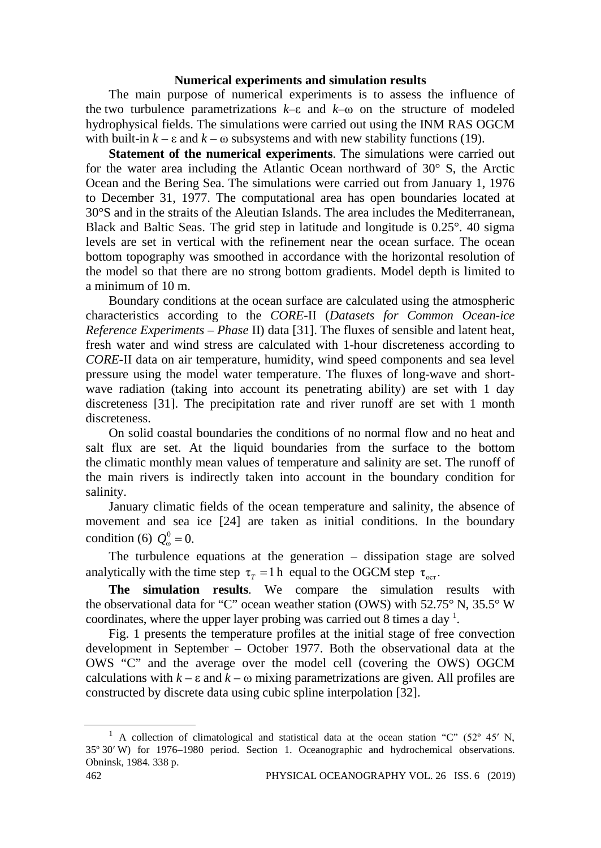# **Numerical experiments and simulation results**

The main purpose of numerical experiments is to assess the influence of the two turbulence parametrizations *k*–ε and *k*–ω on the structure of modeled hydrophysical fields. The simulations were carried out using the INM RAS OGCM with built-in  $k - \varepsilon$  and  $k - \omega$  subsystems and with new stability functions (19).

**Statement of the numerical experiments**. The simulations were carried out for the water area including the Atlantic Ocean northward of 30° S, the Arctic Ocean and the Bering Sea. The simulations were carried out from January 1, 1976 to December 31, 1977. The computational area has open boundaries located at 30°S and in the straits of the Aleutian Islands. The area includes the Mediterranean, Black and Baltic Seas. The grid step in latitude and longitude is 0.25°. 40 sigma levels are set in vertical with the refinement near the ocean surface. The ocean bottom topography was smoothed in accordance with the horizontal resolution of the model so that there are no strong bottom gradients. Model depth is limited to a minimum of 10 m.

Boundary conditions at the ocean surface are calculated using the atmospheric characteristics according to the *CORE-*II (*Datasets for Common Ocean-ice Reference Experiments – Phase* II) data [31]. The fluxes of sensible and latent heat, fresh water and wind stress are calculated with 1-hour discreteness according to *CORE-*II data on air temperature, humidity, wind speed components and sea level pressure using the model water temperature. The fluxes of long-wave and shortwave radiation (taking into account its penetrating ability) are set with 1 day discreteness [31]. The precipitation rate and river runoff are set with 1 month discreteness.

On solid coastal boundaries the conditions of no normal flow and no heat and salt flux are set. At the liquid boundaries from the surface to the bottom the climatic monthly mean values of temperature and salinity are set. The runoff of the main rivers is indirectly taken into account in the boundary condition for salinity.

January climatic fields of the ocean temperature and salinity, the absence of movement and sea ice [24] are taken as initial conditions. In the boundary condition (6)  $Q_{\omega}^0 = 0$ .

The turbulence equations at the generation – dissipation stage are solved analytically with the time step  $\tau_r = 1$  h equal to the OGCM step  $\tau_{\text{per}}$ .

**The simulation results**. We compare the simulation results with the observational data for "C" ocean weather station (OWS) with 52.75° N, 35.5° W coordinates, where the upper layer probing was carried out 8 times a day  $^1$ .

Fig. 1 presents the temperature profiles at the initial stage of free convection development in September – October 1977. Both the observational data at the OWS "C" and the average over the model cell (covering the OWS) OGCM calculations with  $k - \varepsilon$  and  $k - \omega$  mixing parametrizations are given. All profiles are constructed by discrete data using cubic spline interpolation [32].

<sup>&</sup>lt;sup>1</sup> A collection of climatological and statistical data at the ocean station "C" (52° 45' N, 35º 30′ W) for 1976–1980 period. Section 1. Oceanographic and hydrochemical observations. Obninsk, 1984. 338 p.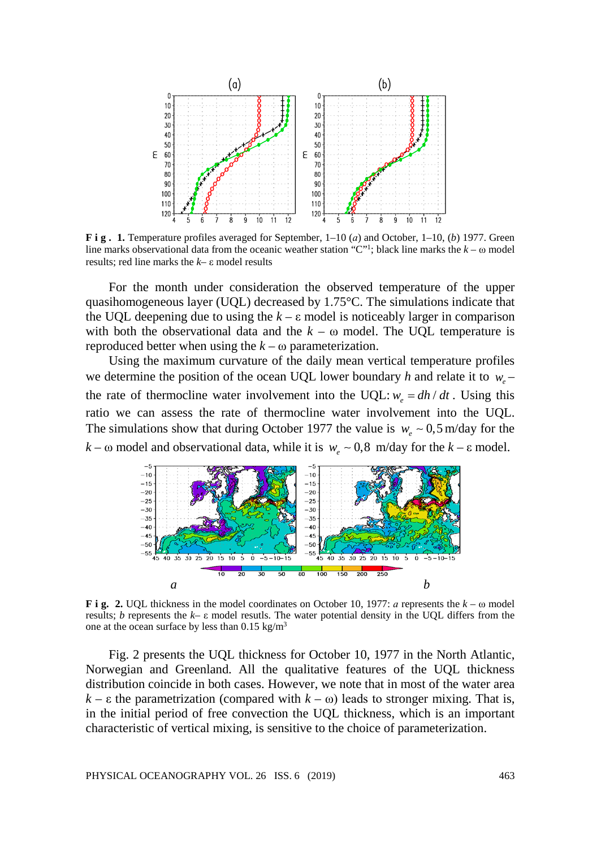

**F i g . 1.** Temperature profiles averaged for September, 1–10 (*а*) and October, 1–10, (*b*) 1977. Green line marks observational data from the oceanic weather station "C"<sup>1</sup>; black line marks the  $k - \omega$  model results; red line marks the *k*– ε model results

For the month under consideration the observed temperature of the upper quasihomogeneous layer (UQL) decreased by 1.75°C. The simulations indicate that the UQL deepening due to using the  $k - \varepsilon$  model is noticeably larger in comparison with both the observational data and the  $k - \omega$  model. The UQL temperature is reproduced better when using the  $k - \omega$  parameterization.

Using the maximum curvature of the daily mean vertical temperature profiles we determine the position of the ocean UQL lower boundary *h* and relate it to *we* – the rate of thermocline water involvement into the UQL:  $w_e = dh/dt$ . Using this ratio we can assess the rate of thermocline water involvement into the UQL. The simulations show that during October 1977 the value is  $w_e \sim 0.5$  m/day for the  $k - \omega$  model and observational data, while it is  $w_e \sim 0.8$  *m*/day for the  $k - \epsilon$  model.



**F i g. 2.** UQL thickness in the model coordinates on October 10, 1977: *а* represents the *k* – ω model results; *b* represents the *k*– ε model resutls. The water potential density in the UQL differs from the one at the ocean surface by less than  $0.15 \text{ kg/m}^3$ 

Fig. 2 presents the UQL thickness for October 10, 1977 in the North Atlantic, Norwegian and Greenland. All the qualitative features of the UQL thickness distribution coincide in both cases. However, we note that in most of the water area  $k - \varepsilon$  the parametrization (compared with  $k - \omega$ ) leads to stronger mixing. That is, in the initial period of free convection the UQL thickness, which is an important characteristic of vertical mixing, is sensitive to the choice of parameterization.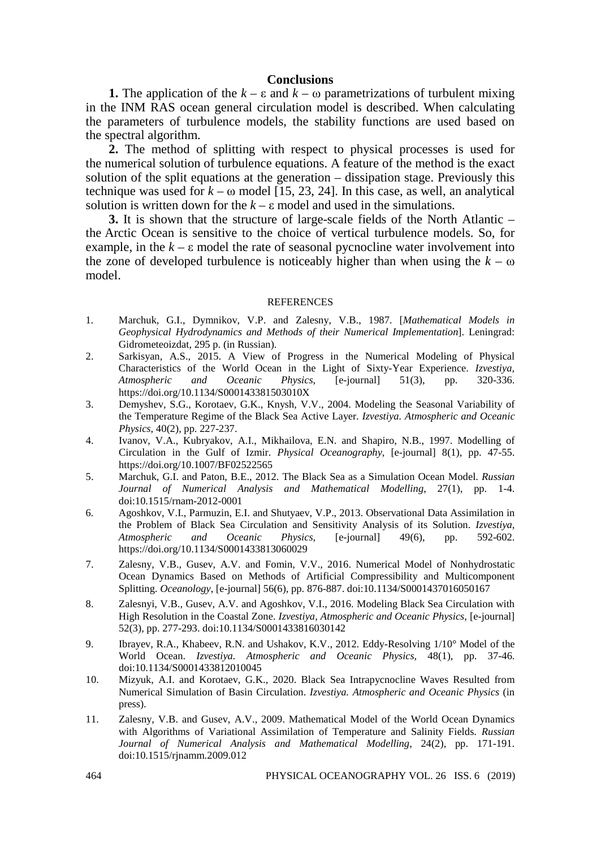# **Conclusions**

**1.** The application of the  $k - \varepsilon$  and  $k - \omega$  parametrizations of turbulent mixing in the INM RAS ocean general circulation model is described. When calculating the parameters of turbulence models, the stability functions are used based on the spectral algorithm.

**2.** The method of splitting with respect to physical processes is used for the numerical solution of turbulence equations. A feature of the method is the exact solution of the split equations at the generation – dissipation stage. Previously this technique was used for  $k - \omega$  model [15, 23, 24]. In this case, as well, an analytical solution is written down for the  $k - \varepsilon$  model and used in the simulations.

**3.** It is shown that the structure of large-scale fields of the North Atlantic – the Arctic Ocean is sensitive to the choice of vertical turbulence models. So, for example, in the  $k - \varepsilon$  model the rate of seasonal pycnocline water involvement into the zone of developed turbulence is noticeably higher than when using the  $k - \omega$ model.

#### REFERENCES

- 1*.* Marchuk, G.I., Dymnikov, V.P. and Zalesny, V.B., 1987. [*Mathematical Models in Geophysical Hydrodynamics and Methods of their Numerical Implementation*]. Leningrad: Gidrometeoizdat, 295 p. (in Russian).
- 2. Sarkisyan, A.S., 2015. A View of Progress in the Numerical Modeling of Physical Characteristics of the World Ocean in the Light of Sixty-Year Experience. *Izvestiya, Atmospheric and Oceanic Physics*, [e-journal] 51(3), pp. https://doi.org/10.1134/S000143381503010X
- 3. Demyshev, S.G., Korotaev, G.K., Knysh, V.V., 2004. Modeling the Seasonal Variability of the Temperature Regime of the Black Sea Active Layer. *Izvestiya. Atmospheric and Oceanic Physics*, 40(2), pp. 227-237.
- 4. Ivanov, V.A., Kubryakov, A.I., Mikhailova, E.N. and Shapiro, N.B., 1997. Modelling of Circulation in the Gulf of Izmir. *Physical Oceanography*, [e-journal] 8(1), pp. 47-55. https://doi.org/10.1007/BF02522565
- 5. Marchuk, G.I. and Paton, B.E., 2012. The Black Sea as a Simulation Ocean Model. *Russian Journal of Numerical Analysis and Mathematical Modelling*, 27(1), pp. 1-4. doi:10.1515/rnam-2012-0001
- 6*.* Agoshkov, V.I., Parmuzin, E.I. and Shutyaev, V.P., 2013. Observational Data Assimilation in the Problem of Black Sea Circulation and Sensitivity Analysis of its Solution. *Izvestiya, Atmospheric and Oceanic Physics,* [e-journal] 49(6), pp. 592-602. https://doi.org/10.1134/S0001433813060029
- 7. Zalesny, V.B., Gusev, A.V. and Fomin, V.V., 2016. Numerical Model of Nonhydrostatic Ocean Dynamics Based on Methods of Artificial Compressibility and Multicomponent Splitting. *Oceanology*, [e-journal] 56(6), pp. 876-887. doi:10.1134/S0001437016050167
- 8. Zalesnyi, V.B., Gusev, A.V. and Agoshkov, V.I., 2016. Modeling Black Sea Circulation with High Resolution in the Coastal Zone. *Izvestiya, Atmospheric and Oceanic Physics*, [e-journal] 52(3), pp. 277-293. doi:10.1134/S0001433816030142
- 9. Ibrayev, R.A., Khabeev, R.N. and Ushakov, K.V., 2012. Eddy-Resolving 1/10° Model of the World Ocean. *Izvestiya. Atmospheric and Oceanic Physics*, 48(1), pp. 37-46. doi:10.1134/S0001433812010045
- 10. Mizyuk, A.I. and Korotaev, G.K., 2020. Black Sea Intrapycnocline Waves Resulted from Numerical Simulation of Basin Circulation. *Izvestiya. Atmospheric and Oceanic Physics* (in press).
- 11. Zalesny, V.B. and Gusev, A.V., 2009. Mathematical Model of the World Ocean Dynamics with Algorithms of Variational Assimilation of Temperature and Salinity Fields. *Russian Journal of Numerical Analysis and Mathematical Modelling*, 24(2), pp. 171-191. doi:10.1515/rjnamm.2009.012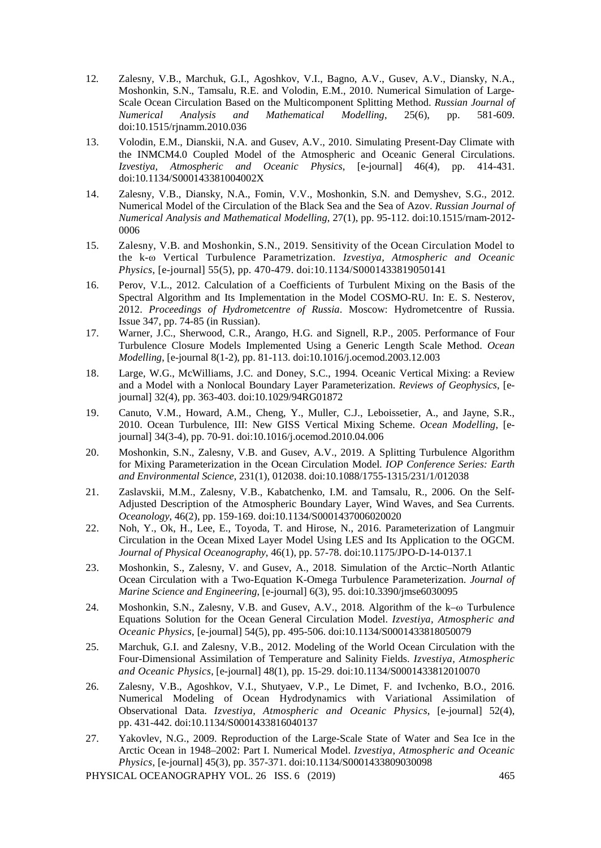- 12*.* Zalesny, V.B., Marchuk, G.I., Agoshkov, V.I., Bagno, A.V., Gusev, A.V., Diansky, N.A., Moshonkin, S.N., Tamsalu, R.E. and Volodin, E.M., 2010. Numerical Simulation of Large-Scale Ocean Circulation Based on the Multicomponent Splitting Method. *Russian Journal of Numerical Analysis and Mathematical Modelling*, 25(6), pp. doi:10.1515/rjnamm.2010.036
- 13. Volodin, E.M., Dianskii, N.A. and Gusev, A.V., 2010. Simulating Present-Day Climate with the INMCM4.0 Coupled Model of the Atmospheric and Oceanic General Circulations. *Izvestiya, Atmospheric and Oceanic Physics*, [e-journal] 46(4), pp. 414-431. doi:10.1134/S000143381004002X
- 14. Zalesny, V.B., Diansky, N.A., Fomin, V.V., Moshonkin, S.N. and Demyshev, S.G., 2012. Numerical Model of the Circulation of the Black Sea and the Sea of Azov. *Russian Journal of Numerical Analysis and Mathematical Modelling*, 27(1), pp. 95-112. doi:10.1515/rnam-2012- 0006
- 15. Zalesny, V.B. and Moshonkin, S.N., 2019. Sensitivity of the Ocean Circulation Model to the k-ω Vertical Turbulence Parametrization. *Izvestiya, Atmospheric and Oceanic Physics*, [e-journal] 55(5), pp. 470-479. doi:10.1134/S0001433819050141
- 16. Perov, V.L., 2012. Calculation of a Coefficients of Turbulent Mixing on the Basis of the Spectral Algorithm and Its Implementation in the Model COSMO-RU. In: E. S. Nesterov, 2012. *Proceedings of Hydrometcentre of Russia*. Moscow: Hydrometcentre of Russia. Issue 347, pp. 74-85 (in Russian).
- 17. Warner, J.C., Sherwood, C.R., Arango, H.G. and Signell, R.P., 2005. Performance of Four Turbulence Closure Models Implemented Using a Generic Length Scale Method. *Ocean Modelling*, [e-journal 8(1-2), pp. 81-113. doi:10.1016/j.ocemod.2003.12.003
- 18. Large, W.G., McWilliams, J.C. and Doney, S.C., 1994. Oceanic Vertical Mixing: a Review and a Model with a Nonlocal Boundary Layer Parameterization. *Reviews of Geophysics*, [ejournal] 32(4), pp. 363-403. doi:10.1029/94RG01872
- 19. Canuto, V.M., Howard, A.M., Cheng, Y., Muller, C.J., Leboissetier, A., and Jayne, S.R., 2010. Ocean Turbulence, III: New GISS Vertical Mixing Scheme. *Ocean Modelling*, [ejournal] 34(3-4), pp. 70-91. doi:10.1016/j.ocemod.2010.04.006
- 20. Moshonkin, S.N., Zalesny, V.B. and Gusev, A.V., 2019. A Splitting Turbulence Algorithm for Mixing Parameterization in the Ocean Circulation Model. *IOP Conference Series: Earth and Environmental Science*, 231(1), 012038. doi:10.1088/1755-1315/231/1/012038
- 21. Zaslavskii, M.M., Zalesny, V.B., Kabatchenko, I.M. and Tamsalu, R., 2006. On the Self-Adjusted Description of the Atmospheric Boundary Layer, Wind Waves, and Sea Currents. *Oceanology*, 46(2), pp. 159-169. doi:10.1134/S0001437006020020
- 22. Noh, Y., Ok, H., Lee, E., Toyoda, T. and Hirose, N., 2016. Parameterization of Langmuir Circulation in the Ocean Mixed Layer Model Using LES and Its Application to the OGCM. *Journal of Physical Oceanography*, 46(1), pp. 57-78. doi:10.1175/JPO-D-14-0137.1
- 23. Moshonkin, S., Zalesny, V. and Gusev, A., 2018. Simulation of the Arctic–North Atlantic Ocean Circulation with a Two-Equation K-Omega Turbulence Parameterization. *Journal of Marine Science and Engineering*, [e-journal] 6(3), 95. doi:10.3390/jmse6030095
- 24. Moshonkin, S.N., Zalesny, V.B. and Gusev, A.V., 2018. Algorithm of the k–ω Turbulence Equations Solution for the Ocean General Circulation Model. *Izvestiya, Atmospheric and Oceanic Physics*, [e-journal] 54(5), pp. 495-506. doi:10.1134/S0001433818050079
- 25. Marchuk, G.I. and Zalesny, V.B., 2012. Modeling of the World Ocean Circulation with the Four-Dimensional Assimilation of Temperature and Salinity Fields. *Izvestiya, Atmospheric and Oceanic Physics*, [e-journal] 48(1), pp. 15-29. doi:10.1134/S0001433812010070
- 26. Zalesny, V.B., Agoshkov, V.I., Shutyaev, V.P., Le Dimet, F. and Ivchenko, B.O., 2016. Numerical Modeling of Ocean Hydrodynamics with Variational Assimilation of Observational Data. *Izvestiya, Atmospheric and Oceanic Physics*, [e-journal] 52(4), pp. 431-442. doi:10.1134/S0001433816040137
- 27. Yakovlev, N.G., 2009. Reproduction of the Large-Scale State of Water and Sea Ice in the Arctic Ocean in 1948–2002: Part I. Numerical Model. *Izvestiya, Atmospheric and Oceanic Physics*, [e-journal] 45(3), pp. 357-371. doi:10.1134/S0001433809030098

PHYSICAL OCEANOGRAPHY VOL. 26 ISS. 6 (2019) 465